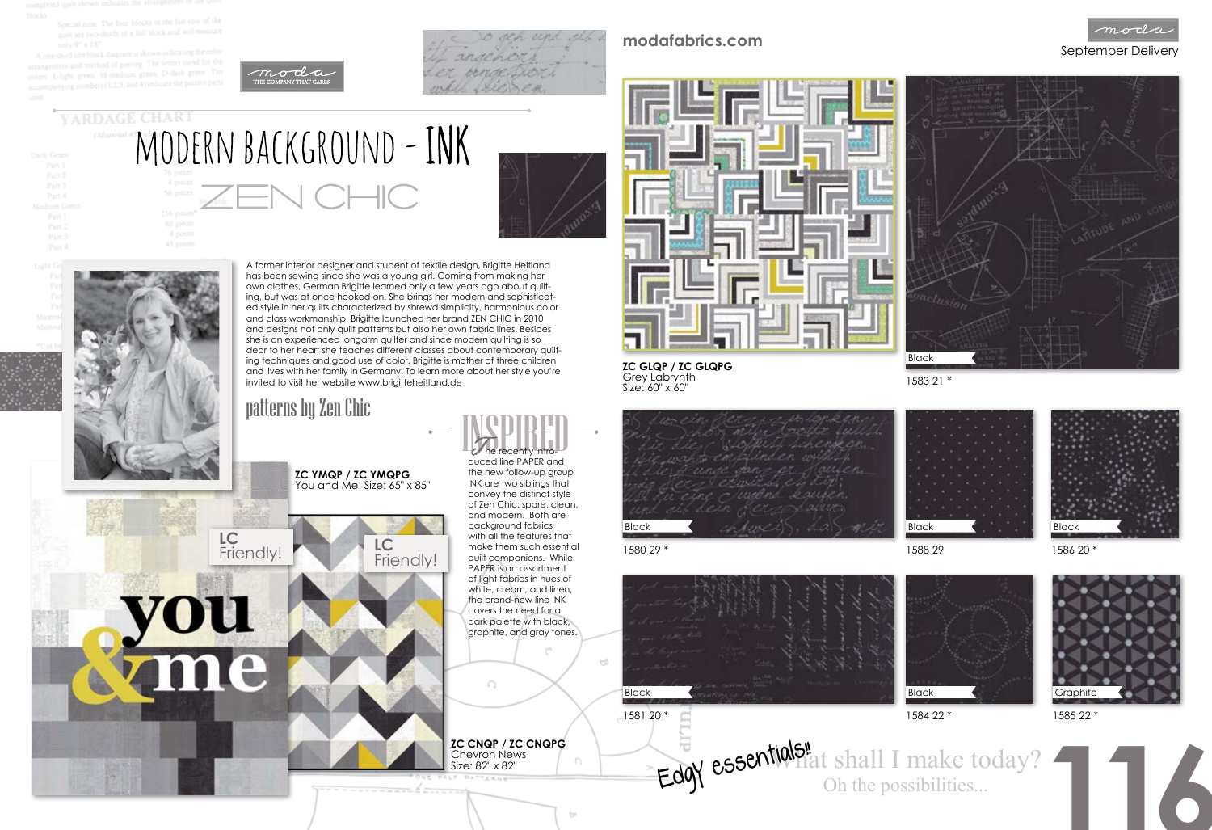Special note The four blocks in the last row of the quilt are two-thirds of a full block and will measure

A one-third size block ent and method of piecing. The letters stand for the light green, M-medium green, D-dark green The ing numbers (1,2,3, and 4) indicate the patter

YARDAGE CHART

Part 4



MODERN BACKGROUND - INK



# September Delivery **modafabrics.com**

A former interior designer and student of textile design, Brigitte Heitland has been sewing since she was a young girl. Coming from making her own clothes, German Brigitte learned only a few years ago about quilting, but was at once hooked on. She brings her modern and sophisticated style in her quilts characterized by shrewd simplicity, harmonious color and class workmanship. Brigitte launched her brand ZEN CHIC in 2010 and designs not only quilt patterns but also her own fabric lines. Besides she is an experienced longarm quilter and since modern quilting is so dear to her heart she teaches different classes about contemporary quilting techniques and good use of color. Brigitte is mother of three children and lives with her family in Germany. To learn more about her style you're invited to visit her website www.brigitteheitland.de

## patterns by Zen Chic

**ZC YMQP / ZC YMQPG**  You and Me Size: 65" x 85"

1580 29 \*

1583 21 \*



td





4 proces



1586 20 \*



1588 29



**116** What shall I make today? Edgy essentials! shall I make to

**ZC GLQP / ZC GLQPG**  Grey Labrynth Size: 60" x 60"

**ZC CNQP / ZC CNQPG**  Chevron News Size: 82" x 82"



**LC**

**LC**

vou

me

Friendly!



 $\bigcap$ 

graphite, and gray tones.